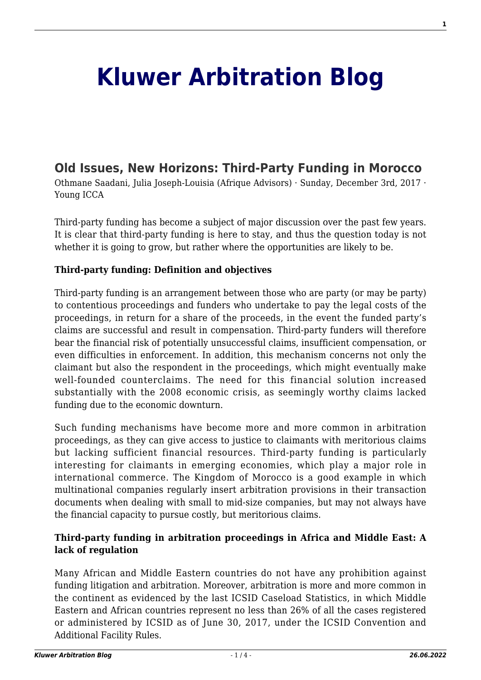# **[Kluwer Arbitration Blog](http://arbitrationblog.kluwerarbitration.com/)**

# **[Old Issues, New Horizons: Third-Party Funding in Morocco](http://arbitrationblog.kluwerarbitration.com/2017/12/03/old-issues-new-horizons-third-party-funding-morocco/)**

Othmane Saadani, Julia Joseph-Louisia (Afrique Advisors) · Sunday, December 3rd, 2017 · Young ICCA

Third-party funding has become a subject of major discussion over the past few years. It is clear that third-party funding is here to stay, and thus the question today is not whether it is going to grow, but rather where the opportunities are likely to be.

#### **Third-party funding: Definition and objectives**

Third-party funding is an arrangement between those who are party (or may be party) to contentious proceedings and funders who undertake to pay the legal costs of the proceedings, in return for a share of the proceeds, in the event the funded party's claims are successful and result in compensation. Third-party funders will therefore bear the financial risk of potentially unsuccessful claims, insufficient compensation, or even difficulties in enforcement. In addition, this mechanism concerns not only the claimant but also the respondent in the proceedings, which might eventually make well-founded counterclaims. The need for this financial solution increased substantially with the 2008 economic crisis, as seemingly worthy claims lacked funding due to the economic downturn.

Such funding mechanisms have become more and more common in arbitration proceedings, as they can give access to justice to claimants with meritorious claims but lacking sufficient financial resources. Third-party funding is particularly interesting for claimants in emerging economies, which play a major role in international commerce. The Kingdom of Morocco is a good example in which multinational companies regularly insert arbitration provisions in their transaction documents when dealing with small to mid-size companies, but may not always have the financial capacity to pursue costly, but meritorious claims.

#### **Third-party funding in arbitration proceedings in Africa and Middle East: A lack of regulation**

Many African and Middle Eastern countries do not have any prohibition against funding litigation and arbitration. Moreover, arbitration is more and more common in the continent as evidenced by the last ICSID Caseload Statistics, in which Middle Eastern and African countries represent no less than 26% of all the cases registered or administered by ICSID as of June 30, 2017, under the ICSID Convention and Additional Facility Rules.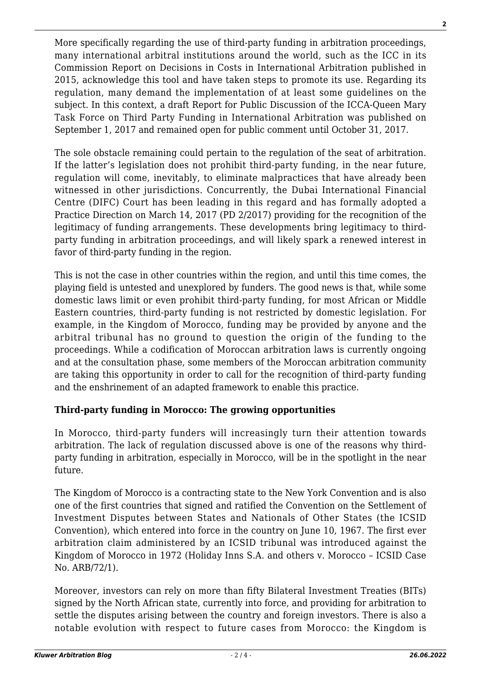More specifically regarding the use of third-party funding in arbitration proceedings, many international arbitral institutions around the world, such as the ICC in its Commission Report on Decisions in Costs in International Arbitration published in 2015, acknowledge this tool and have taken steps to promote its use. Regarding its regulation, many demand the implementation of at least some guidelines on the subject. In this context, a draft Report for Public Discussion of the ICCA-Queen Mary Task Force on Third Party Funding in International Arbitration was published on September 1, 2017 and remained open for public comment until October 31, 2017.

The sole obstacle remaining could pertain to the regulation of the seat of arbitration. If the latter's legislation does not prohibit third-party funding, in the near future, regulation will come, inevitably, to eliminate malpractices that have already been witnessed in other jurisdictions. Concurrently, the Dubai International Financial Centre (DIFC) Court has been leading in this regard and has formally adopted a Practice Direction on March 14, 2017 (PD 2/2017) providing for the recognition of the legitimacy of funding arrangements. These developments bring legitimacy to thirdparty funding in arbitration proceedings, and will likely spark a renewed interest in favor of third-party funding in the region.

This is not the case in other countries within the region, and until this time comes, the playing field is untested and unexplored by funders. The good news is that, while some domestic laws limit or even prohibit third-party funding, for most African or Middle Eastern countries, third-party funding is not restricted by domestic legislation. For example, in the Kingdom of Morocco, funding may be provided by anyone and the arbitral tribunal has no ground to question the origin of the funding to the proceedings. While a codification of Moroccan arbitration laws is currently ongoing and at the consultation phase, some members of the Moroccan arbitration community are taking this opportunity in order to call for the recognition of third-party funding and the enshrinement of an adapted framework to enable this practice.

## **Third-party funding in Morocco: The growing opportunities**

In Morocco, third-party funders will increasingly turn their attention towards arbitration. The lack of regulation discussed above is one of the reasons why thirdparty funding in arbitration, especially in Morocco, will be in the spotlight in the near future.

The Kingdom of Morocco is a contracting state to the New York Convention and is also one of the first countries that signed and ratified the Convention on the Settlement of Investment Disputes between States and Nationals of Other States (the ICSID Convention), which entered into force in the country on June 10, 1967. The first ever arbitration claim administered by an ICSID tribunal was introduced against the Kingdom of Morocco in 1972 (Holiday Inns S.A. and others v. Morocco – ICSID Case No. ARB/72/1).

Moreover, investors can rely on more than fifty Bilateral Investment Treaties (BITs) signed by the North African state, currently into force, and providing for arbitration to settle the disputes arising between the country and foreign investors. There is also a notable evolution with respect to future cases from Morocco: the Kingdom is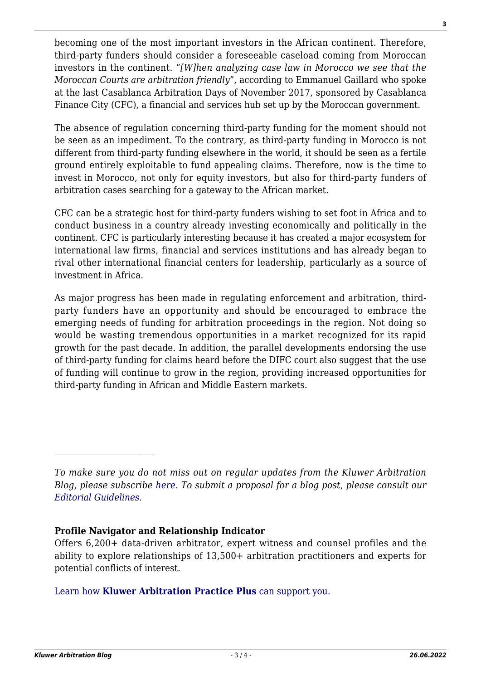becoming one of the most important investors in the African continent. Therefore, third-party funders should consider a foreseeable caseload coming from Moroccan investors in the continent. "*[W]hen analyzing case law in Morocco we see that the Moroccan Courts are arbitration friendly*", according to Emmanuel Gaillard who spoke at the last Casablanca Arbitration Days of November 2017, sponsored by Casablanca Finance City (CFC), a financial and services hub set up by the Moroccan government.

The absence of regulation concerning third-party funding for the moment should not be seen as an impediment. To the contrary, as third-party funding in Morocco is not different from third-party funding elsewhere in the world, it should be seen as a fertile ground entirely exploitable to fund appealing claims. Therefore, now is the time to invest in Morocco, not only for equity investors, but also for third-party funders of arbitration cases searching for a gateway to the African market.

CFC can be a strategic host for third-party funders wishing to set foot in Africa and to conduct business in a country already investing economically and politically in the continent. CFC is particularly interesting because it has created a major ecosystem for international law firms, financial and services institutions and has already began to rival other international financial centers for leadership, particularly as a source of investment in Africa.

As major progress has been made in regulating enforcement and arbitration, thirdparty funders have an opportunity and should be encouraged to embrace the emerging needs of funding for arbitration proceedings in the region. Not doing so would be wasting tremendous opportunities in a market recognized for its rapid growth for the past decade. In addition, the parallel developments endorsing the use of third-party funding for claims heard before the DIFC court also suggest that the use of funding will continue to grow in the region, providing increased opportunities for third-party funding in African and Middle Eastern markets.

*To make sure you do not miss out on regular updates from the Kluwer Arbitration Blog, please subscribe [here](http://arbitrationblog.kluwerarbitration.com/newsletter/). To submit a proposal for a blog post, please consult our [Editorial Guidelines.](http://arbitrationblog.kluwerarbitration.com/editorial-guidelines/)*

#### **Profile Navigator and Relationship Indicator**

Offers 6,200+ data-driven arbitrator, expert witness and counsel profiles and the ability to explore relationships of 13,500+ arbitration practitioners and experts for potential conflicts of interest.

## [Learn how](https://www.wolterskluwer.com/en/solutions/kluwerarbitration/practiceplus?utm_source=arbitrationblog&utm_medium=articleCTA&utm_campaign=article-banner) **[Kluwer Arbitration Practice Plus](https://www.wolterskluwer.com/en/solutions/kluwerarbitration/practiceplus?utm_source=arbitrationblog&utm_medium=articleCTA&utm_campaign=article-banner)** [can support you.](https://www.wolterskluwer.com/en/solutions/kluwerarbitration/practiceplus?utm_source=arbitrationblog&utm_medium=articleCTA&utm_campaign=article-banner)